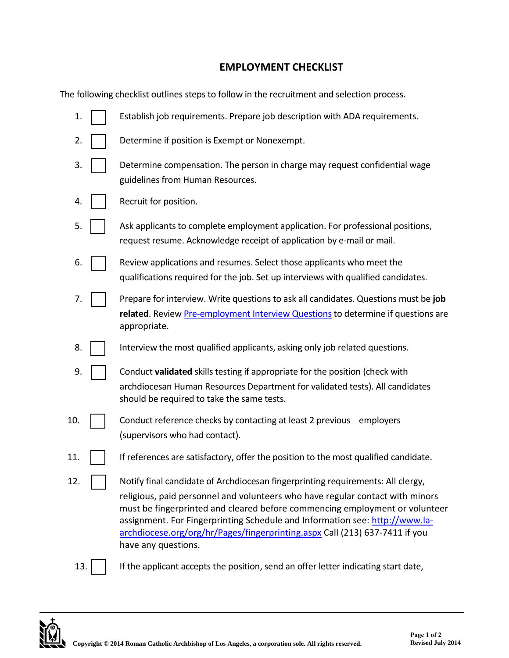## **EMPLOYMENT CHECKLIST**

The following checklist outlines steps to follow in the recruitment and selection process.

| 1.  | Establish job requirements. Prepare job description with ADA requirements.                                                                                                                                                                                                                                                                                                                                                           |
|-----|--------------------------------------------------------------------------------------------------------------------------------------------------------------------------------------------------------------------------------------------------------------------------------------------------------------------------------------------------------------------------------------------------------------------------------------|
| 2.  | Determine if position is Exempt or Nonexempt.                                                                                                                                                                                                                                                                                                                                                                                        |
| 3.  | Determine compensation. The person in charge may request confidential wage<br>guidelines from Human Resources.                                                                                                                                                                                                                                                                                                                       |
| 4.  | Recruit for position.                                                                                                                                                                                                                                                                                                                                                                                                                |
| 5.  | Ask applicants to complete employment application. For professional positions,<br>request resume. Acknowledge receipt of application by e-mail or mail.                                                                                                                                                                                                                                                                              |
| 6.  | Review applications and resumes. Select those applicants who meet the<br>qualifications required for the job. Set up interviews with qualified candidates.                                                                                                                                                                                                                                                                           |
| 7.  | Prepare for interview. Write questions to ask all candidates. Questions must be job<br>related. Review Pre-employment Interview Questions to determine if questions are<br>appropriate.                                                                                                                                                                                                                                              |
| 8.  | Interview the most qualified applicants, asking only job related questions.                                                                                                                                                                                                                                                                                                                                                          |
| 9.  | Conduct validated skills testing if appropriate for the position (check with<br>archdiocesan Human Resources Department for validated tests). All candidates<br>should be required to take the same tests.                                                                                                                                                                                                                           |
| 10. | Conduct reference checks by contacting at least 2 previous<br>employers<br>(supervisors who had contact).                                                                                                                                                                                                                                                                                                                            |
| 11. | If references are satisfactory, offer the position to the most qualified candidate.                                                                                                                                                                                                                                                                                                                                                  |
| 12. | Notify final candidate of Archdiocesan fingerprinting requirements: All clergy,<br>religious, paid personnel and volunteers who have regular contact with minors<br>must be fingerprinted and cleared before commencing employment or volunteer<br>assignment. For Fingerprinting Schedule and Information see: http://www.la-<br>archdiocese.org/org/hr/Pages/fingerprinting.aspx Call (213) 637-7411 if you<br>have any questions. |
| 13. | If the applicant accepts the position, send an offer letter indicating start date,                                                                                                                                                                                                                                                                                                                                                   |